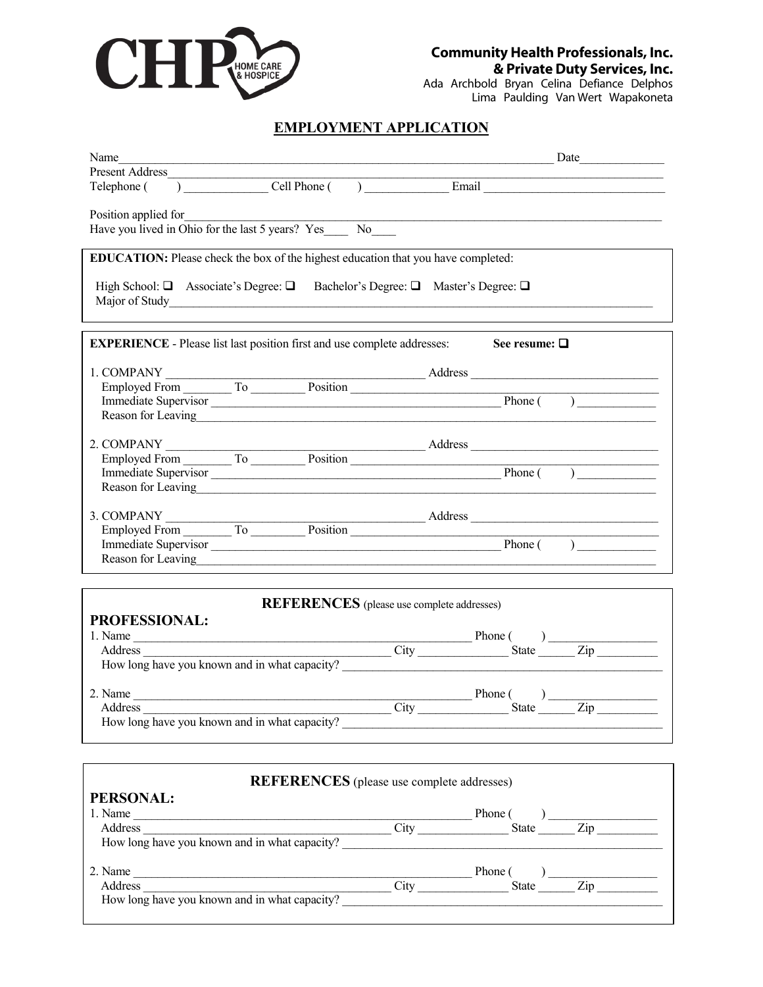

Ada Archbold Bryan Celina Defiance Delphos Lima Paulding Van Wert Wapakoneta

### **EMPLOYMENT APPLICATION**

| Name                                                                                                                                                                                                                                                                                                                              | Date |  |  |  |  |
|-----------------------------------------------------------------------------------------------------------------------------------------------------------------------------------------------------------------------------------------------------------------------------------------------------------------------------------|------|--|--|--|--|
| Present Address<br>Telephone ( ) Cell Phone ( ) Email Email                                                                                                                                                                                                                                                                       |      |  |  |  |  |
|                                                                                                                                                                                                                                                                                                                                   |      |  |  |  |  |
| Position applied for<br>Have you lived in Ohio for the last 5 years? Yes No                                                                                                                                                                                                                                                       |      |  |  |  |  |
| EDUCATION: Please check the box of the highest education that you have completed:                                                                                                                                                                                                                                                 |      |  |  |  |  |
| High School: $\Box$ Associate's Degree: $\Box$ Bachelor's Degree: $\Box$ Master's Degree: $\Box$<br>the control of the control of the control of the control of the control of the control of the control of the control of the control of the control of the control of the control of the control of the control of the control |      |  |  |  |  |
| <b>EXPERIENCE</b> - Please list last position first and use complete addresses:<br>See resume: $\square$                                                                                                                                                                                                                          |      |  |  |  |  |
| 1. COMPANY<br>Employed From To Position Address Address Address Employed From To Position Address Phone ()                                                                                                                                                                                                                        |      |  |  |  |  |
|                                                                                                                                                                                                                                                                                                                                   |      |  |  |  |  |
| Reason for Leaving                                                                                                                                                                                                                                                                                                                |      |  |  |  |  |
|                                                                                                                                                                                                                                                                                                                                   |      |  |  |  |  |
| 2. COMPANY<br>Employed From To Position Address Address Address Employed From To Position Address Phone ()                                                                                                                                                                                                                        |      |  |  |  |  |
|                                                                                                                                                                                                                                                                                                                                   |      |  |  |  |  |
| Reason for Leaving                                                                                                                                                                                                                                                                                                                |      |  |  |  |  |
|                                                                                                                                                                                                                                                                                                                                   |      |  |  |  |  |
| 3. COMPANY<br>Employed From To Position Address Address Address Employed From To Position Address Phone ()                                                                                                                                                                                                                        |      |  |  |  |  |
|                                                                                                                                                                                                                                                                                                                                   |      |  |  |  |  |
| Reason for Leaving                                                                                                                                                                                                                                                                                                                |      |  |  |  |  |
|                                                                                                                                                                                                                                                                                                                                   |      |  |  |  |  |
| <b>REFERENCES</b> (please use complete addresses)                                                                                                                                                                                                                                                                                 |      |  |  |  |  |
| <b>PROFESSIONAL:</b>                                                                                                                                                                                                                                                                                                              |      |  |  |  |  |
|                                                                                                                                                                                                                                                                                                                                   |      |  |  |  |  |
|                                                                                                                                                                                                                                                                                                                                   |      |  |  |  |  |
|                                                                                                                                                                                                                                                                                                                                   |      |  |  |  |  |
|                                                                                                                                                                                                                                                                                                                                   |      |  |  |  |  |
|                                                                                                                                                                                                                                                                                                                                   |      |  |  |  |  |
|                                                                                                                                                                                                                                                                                                                                   |      |  |  |  |  |
|                                                                                                                                                                                                                                                                                                                                   |      |  |  |  |  |
| <b>REFERENCES</b> (please use complete addresses)                                                                                                                                                                                                                                                                                 |      |  |  |  |  |
| PERSONAL:                                                                                                                                                                                                                                                                                                                         |      |  |  |  |  |
|                                                                                                                                                                                                                                                                                                                                   |      |  |  |  |  |
|                                                                                                                                                                                                                                                                                                                                   |      |  |  |  |  |
|                                                                                                                                                                                                                                                                                                                                   |      |  |  |  |  |
|                                                                                                                                                                                                                                                                                                                                   |      |  |  |  |  |
|                                                                                                                                                                                                                                                                                                                                   |      |  |  |  |  |
|                                                                                                                                                                                                                                                                                                                                   |      |  |  |  |  |
|                                                                                                                                                                                                                                                                                                                                   |      |  |  |  |  |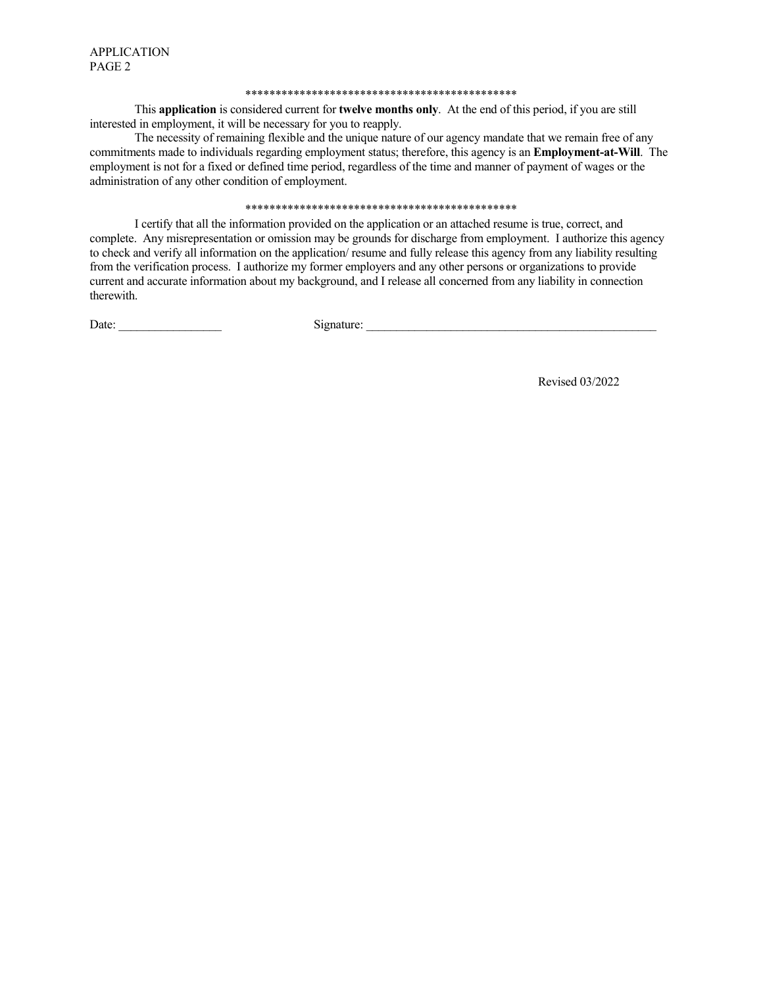#### 

This application is considered current for twelve months only. At the end of this period, if you are still interested in employment, it will be necessary for you to reapply.

The necessity of remaining flexible and the unique nature of our agency mandate that we remain free of any commitments made to individuals regarding employment status; therefore, this agency is an **Employment-at-Will**. The employment is not for a fixed or defined time period, regardless of the time and manner of payment of wages or the administration of any other condition of employment.

#### 

I certify that all the information provided on the application or an attached resume is true, correct, and complete. Any misrepresentation or omission may be grounds for discharge from employment. I authorize this agency to check and verify all information on the application/resume and fully release this agency from any liability resulting from the verification process. I authorize my former employers and any other persons or organizations to provide current and accurate information about my background, and I release all concerned from any liability in connection therewith.

Date: The Contract of the Contract of the Contract of the Contract of the Contract of the Contract of the Contract of the Contract of the Contract of the Contract of the Contract of the Contract of the Contract of the Cont

Signature:

Revised 03/2022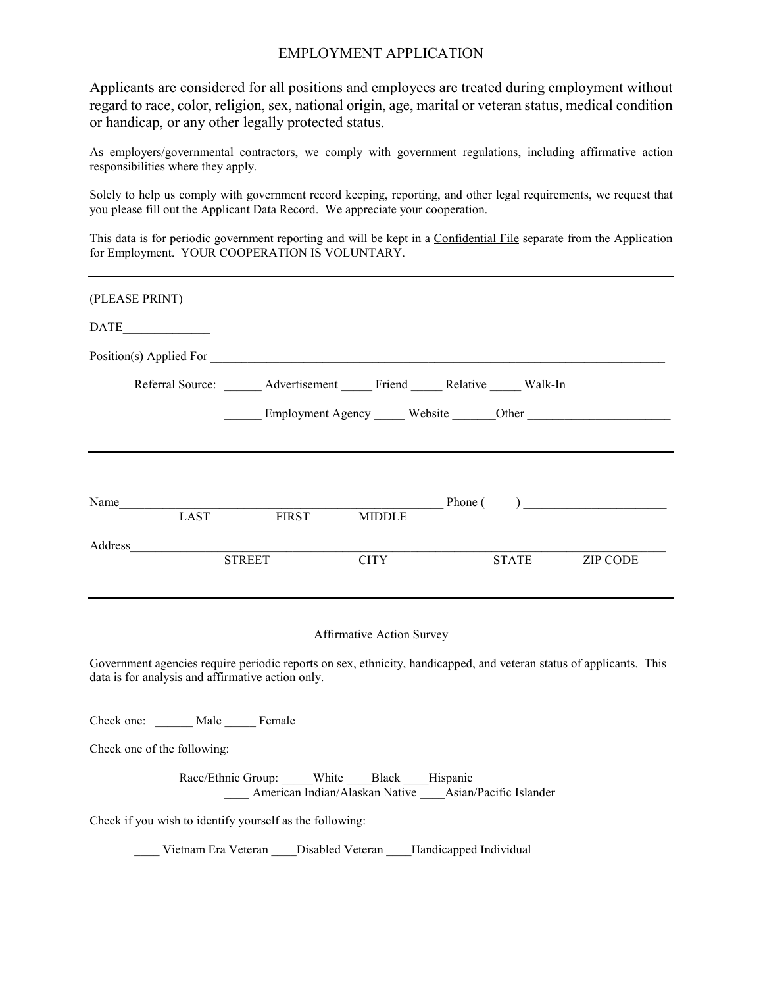### EMPLOYMENT APPLICATION

Applicants are considered for all positions and employees are treated during employment without regard to race, color, religion, sex, national origin, age, marital or veteran status, medical condition or handicap, or any other legally protected status.

As employers/governmental contractors, we comply with government regulations, including affirmative action responsibilities where they apply.

Solely to help us comply with government record keeping, reporting, and other legal requirements, we request that you please fill out the Applicant Data Record. We appreciate your cooperation.

This data is for periodic government reporting and will be kept in a Confidential File separate from the Application for Employment. YOUR COOPERATION IS VOLUNTARY.

| (PLEASE PRINT)                                                                                                                                                           |                                                                                                      |                           |              |                                 |
|--------------------------------------------------------------------------------------------------------------------------------------------------------------------------|------------------------------------------------------------------------------------------------------|---------------------------|--------------|---------------------------------|
| <b>DATE</b>                                                                                                                                                              |                                                                                                      |                           |              |                                 |
| Position(s) Applied For                                                                                                                                                  |                                                                                                      |                           |              |                                 |
|                                                                                                                                                                          | Referral Source: Advertisement Friend Relative Walk-In                                               |                           |              |                                 |
|                                                                                                                                                                          |                                                                                                      |                           |              | Employment Agency Mebsite Other |
|                                                                                                                                                                          |                                                                                                      |                           |              |                                 |
| Name<br>LAST                                                                                                                                                             | <b>FIRST</b>                                                                                         | <b>MIDDLE</b>             |              | $Phone($ )                      |
| Address                                                                                                                                                                  |                                                                                                      |                           |              |                                 |
|                                                                                                                                                                          | <b>STREET</b>                                                                                        | <b>CITY</b>               | <b>STATE</b> | <b>ZIP CODE</b>                 |
|                                                                                                                                                                          |                                                                                                      | Affirmative Action Survey |              |                                 |
| Government agencies require periodic reports on sex, ethnicity, handicapped, and veteran status of applicants. This<br>data is for analysis and affirmative action only. |                                                                                                      |                           |              |                                 |
| Check one: ______ Male _____ Female                                                                                                                                      |                                                                                                      |                           |              |                                 |
| Check one of the following:                                                                                                                                              |                                                                                                      |                           |              |                                 |
|                                                                                                                                                                          | Race/Ethnic Group: White Black Hispanic<br>American Indian/Alaskan Native ____Asian/Pacific Islander |                           |              |                                 |
| Check if you wish to identify yourself as the following:                                                                                                                 |                                                                                                      |                           |              |                                 |
|                                                                                                                                                                          | Vietnam Era Veteran Disabled Veteran Handicapped Individual                                          |                           |              |                                 |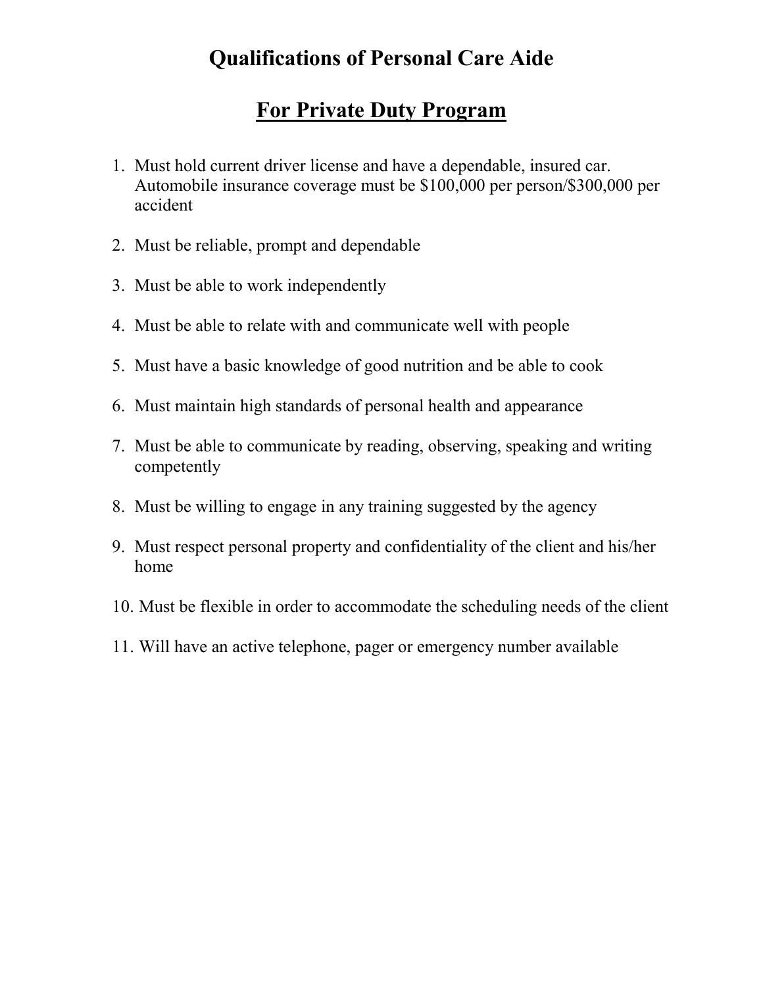# **Qualifications of Personal Care Aide**

## **For Private Duty Program**

- 1. Must hold current driver license and have a dependable, insured car. Automobile insurance coverage must be \$100,000 per person/\$300,000 per accident
- 2. Must be reliable, prompt and dependable
- 3. Must be able to work independently
- 4. Must be able to relate with and communicate well with people
- 5. Must have a basic knowledge of good nutrition and be able to cook
- 6. Must maintain high standards of personal health and appearance
- 7. Must be able to communicate by reading, observing, speaking and writing competently
- 8. Must be willing to engage in any training suggested by the agency
- 9. Must respect personal property and confidentiality of the client and his/her home
- 10. Must be flexible in order to accommodate the scheduling needs of the client
- 11. Will have an active telephone, pager or emergency number available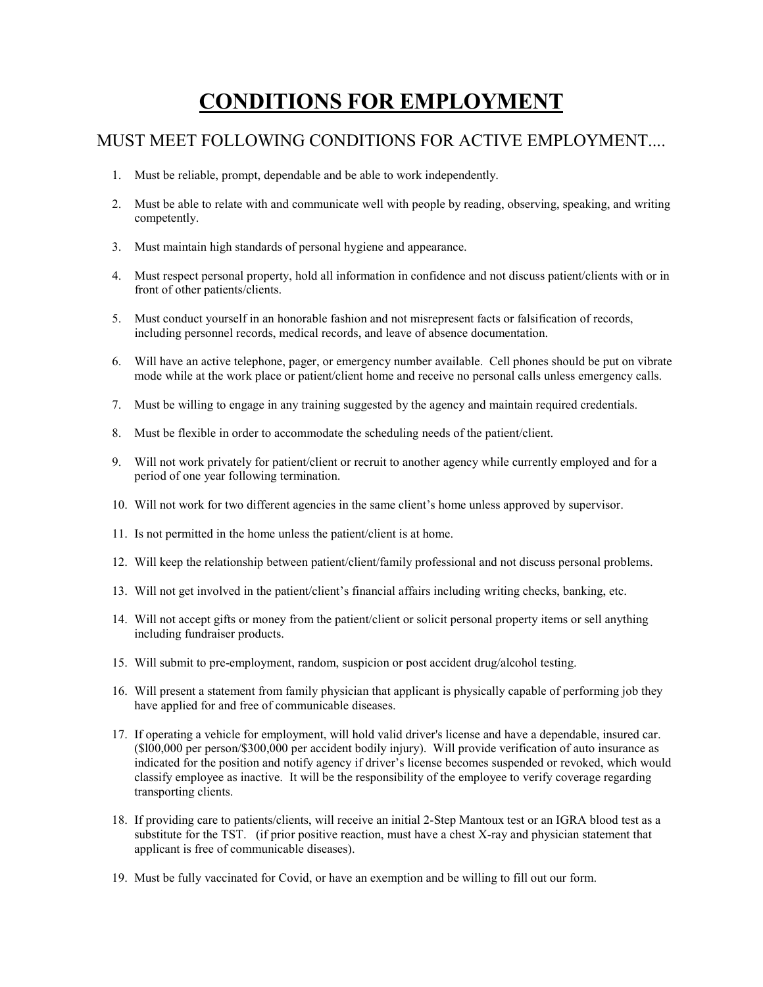# **CONDITIONS FOR EMPLOYMENT**

## MUST MEET FOLLOWING CONDITIONS FOR ACTIVE EMPLOYMENT....

- 1. Must be reliable, prompt, dependable and be able to work independently.
- 2. Must be able to relate with and communicate well with people by reading, observing, speaking, and writing competently.
- 3. Must maintain high standards of personal hygiene and appearance.
- 4. Must respect personal property, hold all information in confidence and not discuss patient/clients with or in front of other patients/clients.
- 5. Must conduct yourself in an honorable fashion and not misrepresent facts or falsification of records, including personnel records, medical records, and leave of absence documentation.
- 6. Will have an active telephone, pager, or emergency number available. Cell phones should be put on vibrate mode while at the work place or patient/client home and receive no personal calls unless emergency calls.
- 7. Must be willing to engage in any training suggested by the agency and maintain required credentials.
- 8. Must be flexible in order to accommodate the scheduling needs of the patient/client.
- 9. Will not work privately for patient/client or recruit to another agency while currently employed and for a period of one year following termination.
- 10. Will not work for two different agencies in the same client's home unless approved by supervisor.
- 11. Is not permitted in the home unless the patient/client is at home.
- 12. Will keep the relationship between patient/client/family professional and not discuss personal problems.
- 13. Will not get involved in the patient/client's financial affairs including writing checks, banking, etc.
- 14. Will not accept gifts or money from the patient/client or solicit personal property items or sell anything including fundraiser products.
- 15. Will submit to pre-employment, random, suspicion or post accident drug/alcohol testing.
- 16. Will present a statement from family physician that applicant is physically capable of performing job they have applied for and free of communicable diseases.
- 17. If operating a vehicle for employment, will hold valid driver's license and have a dependable, insured car. (\$l00,000 per person/\$300,000 per accident bodily injury). Will provide verification of auto insurance as indicated for the position and notify agency if driver's license becomes suspended or revoked, which would classify employee as inactive. It will be the responsibility of the employee to verify coverage regarding transporting clients.
- 18. If providing care to patients/clients, will receive an initial 2-Step Mantoux test or an IGRA blood test as a substitute for the TST. (if prior positive reaction, must have a chest X-ray and physician statement that applicant is free of communicable diseases).
- 19. Must be fully vaccinated for Covid, or have an exemption and be willing to fill out our form.